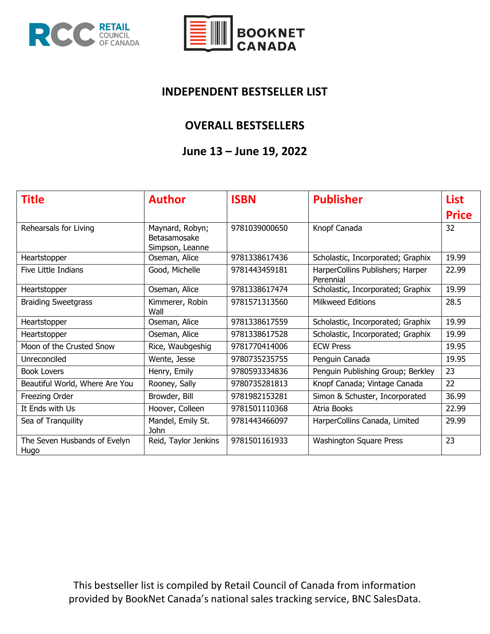



#### **INDEPENDENT BESTSELLER LIST**

### **OVERALL BESTSELLERS**

### **June 13 – June 19, 2022**

| <b>Title</b>                         | <b>Author</b>                                      | <b>ISBN</b>   | <b>Publisher</b>                              | <b>List</b>  |
|--------------------------------------|----------------------------------------------------|---------------|-----------------------------------------------|--------------|
|                                      |                                                    |               |                                               | <b>Price</b> |
| Rehearsals for Living                | Maynard, Robyn;<br>Betasamosake<br>Simpson, Leanne | 9781039000650 | Knopf Canada                                  | 32           |
| Heartstopper                         | Oseman, Alice                                      | 9781338617436 | Scholastic, Incorporated; Graphix             | 19.99        |
| Five Little Indians                  | Good, Michelle                                     | 9781443459181 | HarperCollins Publishers; Harper<br>Perennial | 22.99        |
| Heartstopper                         | Oseman, Alice                                      | 9781338617474 | Scholastic, Incorporated; Graphix             | 19.99        |
| <b>Braiding Sweetgrass</b>           | Kimmerer, Robin<br>Wall                            | 9781571313560 | <b>Milkweed Editions</b>                      | 28.5         |
| Heartstopper                         | Oseman, Alice                                      | 9781338617559 | Scholastic, Incorporated; Graphix             | 19.99        |
| Heartstopper                         | Oseman, Alice                                      | 9781338617528 | Scholastic, Incorporated; Graphix             | 19.99        |
| Moon of the Crusted Snow             | Rice, Waubgeshig                                   | 9781770414006 | <b>ECW Press</b>                              | 19.95        |
| Unreconciled                         | Wente, Jesse                                       | 9780735235755 | Penguin Canada                                | 19.95        |
| <b>Book Lovers</b>                   | Henry, Emily                                       | 9780593334836 | Penguin Publishing Group; Berkley             | 23           |
| Beautiful World, Where Are You       | Rooney, Sally                                      | 9780735281813 | Knopf Canada; Vintage Canada                  | 22           |
| Freezing Order                       | Browder, Bill                                      | 9781982153281 | Simon & Schuster, Incorporated                | 36.99        |
| It Ends with Us                      | Hoover, Colleen                                    | 9781501110368 | Atria Books                                   | 22.99        |
| Sea of Tranquility                   | Mandel, Emily St.<br>John                          | 9781443466097 | HarperCollins Canada, Limited                 | 29.99        |
| The Seven Husbands of Evelyn<br>Hugo | Reid, Taylor Jenkins                               | 9781501161933 | <b>Washington Square Press</b>                | 23           |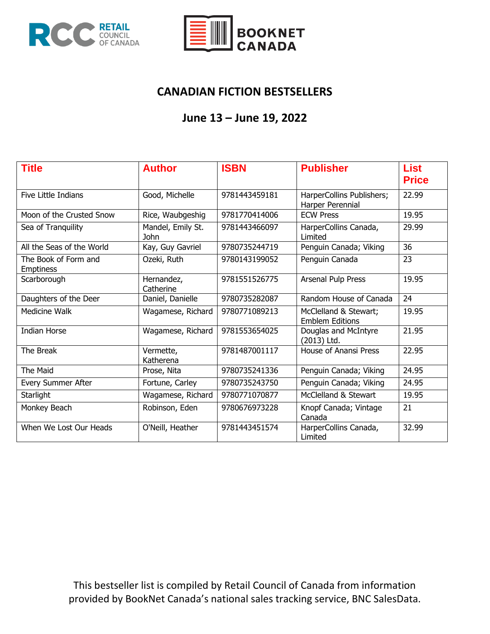



### **CANADIAN FICTION BESTSELLERS**

## **June 13 – June 19, 2022**

| <b>Title</b>                             | <b>Author</b>             | <b>ISBN</b>   | <b>Publisher</b>                                | <b>List</b><br><b>Price</b> |
|------------------------------------------|---------------------------|---------------|-------------------------------------------------|-----------------------------|
| Five Little Indians                      | Good, Michelle            | 9781443459181 | HarperCollins Publishers;<br>Harper Perennial   | 22.99                       |
| Moon of the Crusted Snow                 | Rice, Waubgeshig          | 9781770414006 | <b>ECW Press</b>                                | 19.95                       |
| Sea of Tranquility                       | Mandel, Emily St.<br>John | 9781443466097 | HarperCollins Canada,<br>Limited                | 29.99                       |
| All the Seas of the World                | Kay, Guy Gavriel          | 9780735244719 | Penguin Canada; Viking                          | 36                          |
| The Book of Form and<br><b>Emptiness</b> | Ozeki, Ruth               | 9780143199052 | Penguin Canada                                  | 23                          |
| Scarborough                              | Hernandez,<br>Catherine   | 9781551526775 | Arsenal Pulp Press                              | 19.95                       |
| Daughters of the Deer                    | Daniel, Danielle          | 9780735282087 | Random House of Canada                          | 24                          |
| Medicine Walk                            | Wagamese, Richard         | 9780771089213 | McClelland & Stewart;<br><b>Emblem Editions</b> | 19.95                       |
| <b>Indian Horse</b>                      | Wagamese, Richard         | 9781553654025 | Douglas and McIntyre<br>(2013) Ltd.             | 21.95                       |
| The Break                                | Vermette,<br>Katherena    | 9781487001117 | <b>House of Anansi Press</b>                    | 22.95                       |
| The Maid                                 | Prose, Nita               | 9780735241336 | Penguin Canada; Viking                          | 24.95                       |
| Every Summer After                       | Fortune, Carley           | 9780735243750 | Penguin Canada; Viking                          | 24.95                       |
| Starlight                                | Wagamese, Richard         | 9780771070877 | McClelland & Stewart                            | 19.95                       |
| Monkey Beach                             | Robinson, Eden            | 9780676973228 | Knopf Canada; Vintage<br>Canada                 | 21                          |
| When We Lost Our Heads                   | O'Neill, Heather          | 9781443451574 | HarperCollins Canada,<br>Limited                | 32.99                       |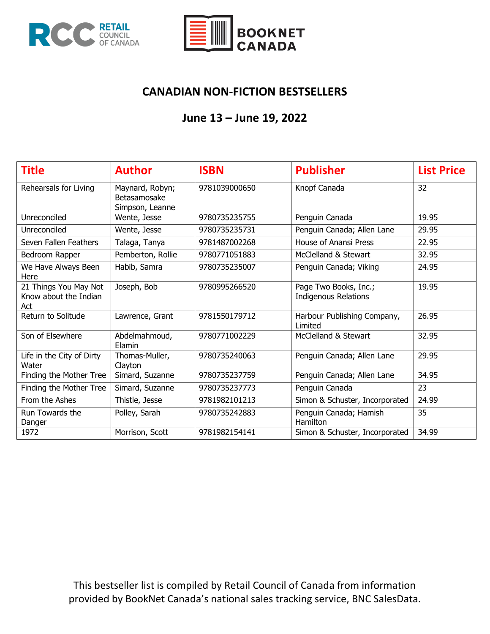



## **CANADIAN NON-FICTION BESTSELLERS**

## **June 13 – June 19, 2022**

| Title                                                 | <b>Author</b>                                      | <b>ISBN</b>   | <b>Publisher</b>                                     | <b>List Price</b> |
|-------------------------------------------------------|----------------------------------------------------|---------------|------------------------------------------------------|-------------------|
| Rehearsals for Living                                 | Maynard, Robyn;<br>Betasamosake<br>Simpson, Leanne | 9781039000650 | Knopf Canada                                         | 32                |
| Unreconciled                                          | Wente, Jesse                                       | 9780735235755 | Penguin Canada                                       | 19.95             |
| Unreconciled                                          | Wente, Jesse                                       | 9780735235731 | Penguin Canada; Allen Lane                           | 29.95             |
| Seven Fallen Feathers                                 | Talaga, Tanya                                      | 9781487002268 | House of Anansi Press                                | 22.95             |
| Bedroom Rapper                                        | Pemberton, Rollie                                  | 9780771051883 | McClelland & Stewart                                 | 32.95             |
| We Have Always Been<br>Here                           | Habib, Samra                                       | 9780735235007 | Penguin Canada; Viking                               | 24.95             |
| 21 Things You May Not<br>Know about the Indian<br>Act | Joseph, Bob                                        | 9780995266520 | Page Two Books, Inc.;<br><b>Indigenous Relations</b> | 19.95             |
| Return to Solitude                                    | Lawrence, Grant                                    | 9781550179712 | Harbour Publishing Company,<br>Limited               | 26.95             |
| Son of Elsewhere                                      | Abdelmahmoud,<br>Elamin                            | 9780771002229 | McClelland & Stewart                                 | 32.95             |
| Life in the City of Dirty<br>Water                    | Thomas-Muller,<br>Clayton                          | 9780735240063 | Penguin Canada; Allen Lane                           | 29.95             |
| Finding the Mother Tree                               | Simard, Suzanne                                    | 9780735237759 | Penguin Canada; Allen Lane                           | 34.95             |
| Finding the Mother Tree                               | Simard, Suzanne                                    | 9780735237773 | Penguin Canada                                       | 23                |
| From the Ashes                                        | Thistle, Jesse                                     | 9781982101213 | Simon & Schuster, Incorporated                       | 24.99             |
| Run Towards the<br>Danger                             | Polley, Sarah                                      | 9780735242883 | Penguin Canada; Hamish<br>Hamilton                   | 35                |
| 1972                                                  | Morrison, Scott                                    | 9781982154141 | Simon & Schuster, Incorporated                       | 34.99             |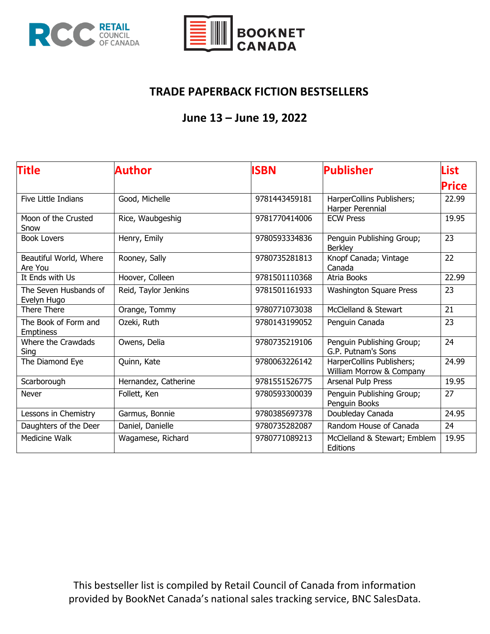



### **TRADE PAPERBACK FICTION BESTSELLERS**

# **June 13 – June 19, 2022**

| <b>Title</b>                             | Author               | <b>ISBN</b>   | <b>Publisher</b>                                      | List         |
|------------------------------------------|----------------------|---------------|-------------------------------------------------------|--------------|
|                                          |                      |               |                                                       | <b>Price</b> |
| Five Little Indians                      | Good, Michelle       | 9781443459181 | HarperCollins Publishers;<br>Harper Perennial         | 22.99        |
| Moon of the Crusted<br>Snow              | Rice, Waubgeshig     | 9781770414006 | <b>ECW Press</b>                                      | 19.95        |
| <b>Book Lovers</b>                       | Henry, Emily         | 9780593334836 | Penguin Publishing Group;<br><b>Berkley</b>           | 23           |
| Beautiful World, Where<br>Are You        | Rooney, Sally        | 9780735281813 | Knopf Canada; Vintage<br>Canada                       | 22           |
| It Ends with Us                          | Hoover, Colleen      | 9781501110368 | Atria Books                                           | 22.99        |
| The Seven Husbands of<br>Evelyn Hugo     | Reid, Taylor Jenkins | 9781501161933 | <b>Washington Square Press</b>                        | 23           |
| <b>There There</b>                       | Orange, Tommy        | 9780771073038 | McClelland & Stewart                                  | 21           |
| The Book of Form and<br><b>Emptiness</b> | Ozeki, Ruth          | 9780143199052 | Penguin Canada                                        | 23           |
| Where the Crawdads<br>Sing               | Owens, Delia         | 9780735219106 | Penguin Publishing Group;<br>G.P. Putnam's Sons       | 24           |
| The Diamond Eye                          | Quinn, Kate          | 9780063226142 | HarperCollins Publishers;<br>William Morrow & Company | 24.99        |
| Scarborough                              | Hernandez, Catherine | 9781551526775 | Arsenal Pulp Press                                    | 19.95        |
| <b>Never</b>                             | Follett, Ken         | 9780593300039 | Penguin Publishing Group;<br>Penguin Books            | 27           |
| Lessons in Chemistry                     | Garmus, Bonnie       | 9780385697378 | Doubleday Canada                                      | 24.95        |
| Daughters of the Deer                    | Daniel, Danielle     | 9780735282087 | Random House of Canada                                | 24           |
| <b>Medicine Walk</b>                     | Wagamese, Richard    | 9780771089213 | McClelland & Stewart; Emblem<br>Editions              | 19.95        |